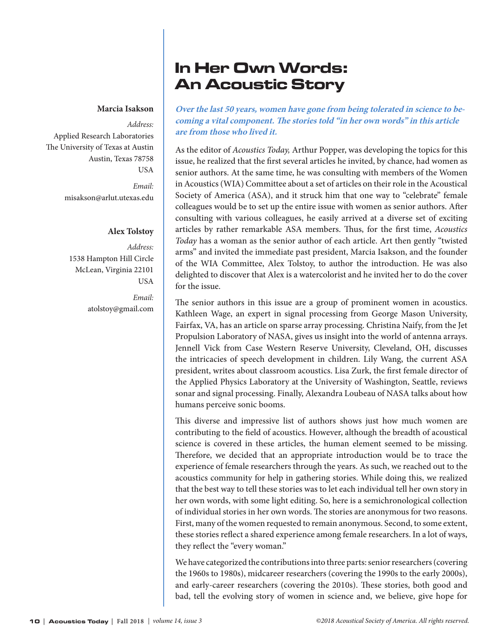#### **Marcia Isakson**

*Address:*  Applied Research Laboratories The University of Texas at Austin Austin, Texas 78758 USA *Email:*

[misakson@arlut.utexas.edu](mailto:misakson@arlut.utexas.edu)

#### **Alex Tolstoy**

*Address:*  1538 Hampton Hill Circle McLean, Virginia 22101 USA

> *Email:* [atolstoy@gmail.com](mailto:atolstoy@gmail.com)

# In Her Own Words: An Acoustic Story

**Over the last 50 years, women have gone from being tolerated in science to becoming a vital component. The stories told "in her own words" in this article are from those who lived it.** 

As the editor of *Acoustics Today,* Arthur Popper, was developing the topics for this issue, he realized that the first several articles he invited, by chance, had women as senior authors. At the same time, he was consulting with members of the Women in Acoustics (WIA) Committee about a set of articles on their role in the Acoustical Society of America (ASA), and it struck him that one way to "celebrate" female colleagues would be to set up the entire issue with women as senior authors. After consulting with various colleagues, he easily arrived at a diverse set of exciting articles by rather remarkable ASA members. Thus, for the first time, *Acoustics Today* has a woman as the senior author of each article. Art then gently "twisted arms" and invited the immediate past president, Marcia Isakson, and the founder of the WIA Committee, Alex Tolstoy, to author the introduction. He was also delighted to discover that Alex is a watercolorist and he invited her to do the cover for the issue.

The senior authors in this issue are a group of prominent women in acoustics. Kathleen Wage, an expert in signal processing from George Mason University, Fairfax, VA, has an article on sparse array processing. Christina Naify, from the Jet Propulsion Laboratory of NASA, gives us insight into the world of antenna arrays. Jennell Vick from Case Western Reserve University, Cleveland, OH, discusses the intricacies of speech development in children. Lily Wang, the current ASA president, writes about classroom acoustics. Lisa Zurk, the first female director of the Applied Physics Laboratory at the University of Washington, Seattle, reviews sonar and signal processing. Finally, Alexandra Loubeau of NASA talks about how humans perceive sonic booms.

This diverse and impressive list of authors shows just how much women are contributing to the field of acoustics. However, although the breadth of acoustical science is covered in these articles, the human element seemed to be missing. Therefore, we decided that an appropriate introduction would be to trace the experience of female researchers through the years. As such, we reached out to the acoustics community for help in gathering stories. While doing this, we realized that the best way to tell these stories was to let each individual tell her own story in her own words, with some light editing. So, here is a semichronological collection of individual stories in her own words. The stories are anonymous for two reasons. First, many of the women requested to remain anonymous. Second, to some extent, these stories reflect a shared experience among female researchers. In a lot of ways, they reflect the "every woman."

We have categorized the contributions into three parts: senior researchers (covering the 1960s to 1980s), midcareer researchers (covering the 1990s to the early 2000s), and early-career researchers (covering the 2010s). These stories, both good and bad, tell the evolving story of women in science and, we believe, give hope for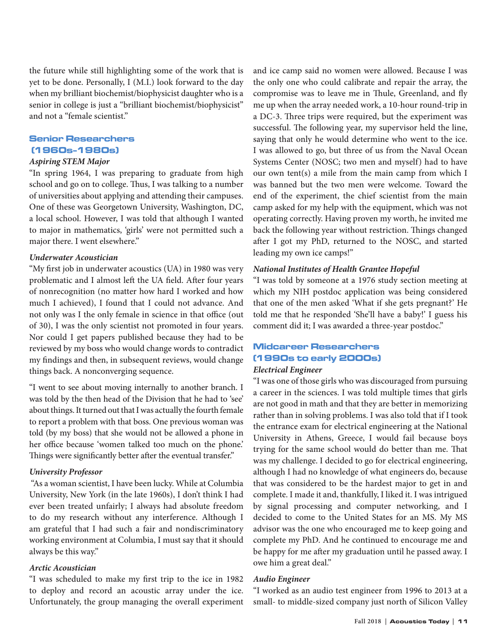the future while still highlighting some of the work that is yet to be done. Personally, I (M.I.) look forward to the day when my brilliant biochemist/biophysicist daughter who is a senior in college is just a "brilliant biochemist/biophysicist" and not a "female scientist."

# Senior Researchers (1960s-1980s)

## *Aspiring STEM Major*

"In spring 1964, I was preparing to graduate from high school and go on to college. Thus, I was talking to a number of universities about applying and attending their campuses. One of these was Georgetown University, Washington, DC, a local school. However, I was told that although I wanted to major in mathematics, 'girls' were not permitted such a major there. I went elsewhere."

#### *Underwater Acoustician*

"My first job in underwater acoustics (UA) in 1980 was very problematic and I almost left the UA field. After four years of nonrecognition (no matter how hard I worked and how much I achieved), I found that I could not advance. And not only was I the only female in science in that office (out of 30), I was the only scientist not promoted in four years. Nor could I get papers published because they had to be reviewed by my boss who would change words to contradict my findings and then, in subsequent reviews, would change things back. A nonconverging sequence.

"I went to see about moving internally to another branch. I was told by the then head of the Division that he had to 'see' about things. It turned out that I was actually the fourth female to report a problem with that boss. One previous woman was told (by my boss) that she would not be allowed a phone in her office because 'women talked too much on the phone.' Things were significantly better after the eventual transfer."

#### *University Professor*

 "As a woman scientist, I have been lucky. While at Columbia University, New York (in the late 1960s), I don't think I had ever been treated unfairly; I always had absolute freedom to do my research without any interference. Although I am grateful that I had such a fair and nondiscriminatory working environment at Columbia, I must say that it should always be this way."

#### *Arctic Acoustician*

"I was scheduled to make my first trip to the ice in 1982 to deploy and record an acoustic array under the ice. Unfortunately, the group managing the overall experiment and ice camp said no women were allowed. Because I was the only one who could calibrate and repair the array, the compromise was to leave me in Thule, Greenland, and fly me up when the array needed work, a 10-hour round-trip in a DC-3. Three trips were required, but the experiment was successful. The following year, my supervisor held the line, saying that only he would determine who went to the ice. I was allowed to go, but three of us from the Naval Ocean Systems Center (NOSC; two men and myself) had to have our own tent(s) a mile from the main camp from which I was banned but the two men were welcome. Toward the end of the experiment, the chief scientist from the main camp asked for my help with the equipment, which was not operating correctly. Having proven my worth, he invited me back the following year without restriction. Things changed after I got my PhD, returned to the NOSC, and started leading my own ice camps!"

### *National Institutes of Health Grantee Hopeful*

"I was told by someone at a 1976 study section meeting at which my NIH postdoc application was being considered that one of the men asked 'What if she gets pregnant?' He told me that he responded 'She'll have a baby!' I guess his comment did it; I was awarded a three-year postdoc."

# Midcareer Researchers (1990s to early 2000s)

#### *Electrical Engineer*

"I was one of those girls who was discouraged from pursuing a career in the sciences. I was told multiple times that girls are not good in math and that they are better in memorizing rather than in solving problems. I was also told that if I took the entrance exam for electrical engineering at the National University in Athens, Greece, I would fail because boys trying for the same school would do better than me. That was my challenge. I decided to go for electrical engineering, although I had no knowledge of what engineers do, because that was considered to be the hardest major to get in and complete. I made it and, thankfully, I liked it. I was intrigued by signal processing and computer networking, and I decided to come to the United States for an MS. My MS advisor was the one who encouraged me to keep going and complete my PhD. And he continued to encourage me and be happy for me after my graduation until he passed away. I owe him a great deal."

#### *Audio Engineer*

"I worked as an audio test engineer from 1996 to 2013 at a small- to middle-sized company just north of Silicon Valley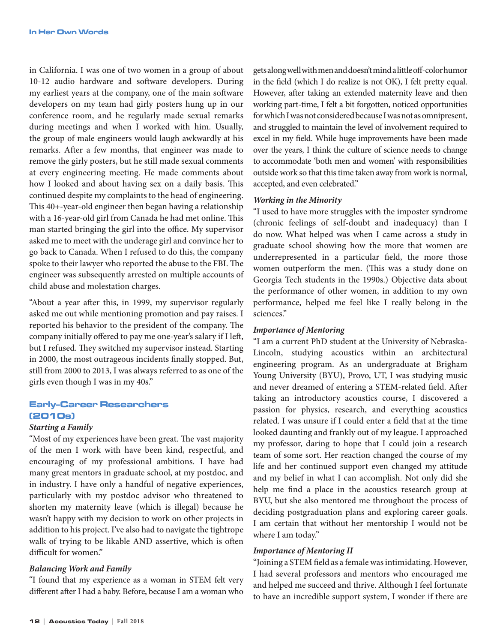in California. I was one of two women in a group of about 10-12 audio hardware and software developers. During my earliest years at the company, one of the main software developers on my team had girly posters hung up in our conference room, and he regularly made sexual remarks during meetings and when I worked with him. Usually, the group of male engineers would laugh awkwardly at his remarks. After a few months, that engineer was made to remove the girly posters, but he still made sexual comments at every engineering meeting. He made comments about how I looked and about having sex on a daily basis. This continued despite my complaints to the head of engineering. This 40+-year-old engineer then began having a relationship with a 16-year-old girl from Canada he had met online. This man started bringing the girl into the office. My supervisor asked me to meet with the underage girl and convince her to go back to Canada. When I refused to do this, the company spoke to their lawyer who reported the abuse to the FBI. The engineer was subsequently arrested on multiple accounts of child abuse and molestation charges.

"About a year after this, in 1999, my supervisor regularly asked me out while mentioning promotion and pay raises. I reported his behavior to the president of the company. The company initially offered to pay me one-year's salary if I left, but I refused. They switched my supervisor instead. Starting in 2000, the most outrageous incidents finally stopped. But, still from 2000 to 2013, I was always referred to as one of the girls even though I was in my 40s."

# Early-Career Researchers (2010s)

#### *Starting a Family*

"Most of my experiences have been great. The vast majority of the men I work with have been kind, respectful, and encouraging of my professional ambitions. I have had many great mentors in graduate school, at my postdoc, and in industry. I have only a handful of negative experiences, particularly with my postdoc advisor who threatened to shorten my maternity leave (which is illegal) because he wasn't happy with my decision to work on other projects in addition to his project. I've also had to navigate the tightrope walk of trying to be likable AND assertive, which is often difficult for women."

#### *Balancing Work and Family*

"I found that my experience as a woman in STEM felt very different after I had a baby. Before, because I am a woman who

gets along well with men and doesn't mind a little off-color humor in the field (which I do realize is not OK), I felt pretty equal. However, after taking an extended maternity leave and then working part-time, I felt a bit forgotten, noticed opportunities for which I was not considered because I was not as omnipresent, and struggled to maintain the level of involvement required to excel in my field. While huge improvements have been made over the years, I think the culture of science needs to change to accommodate 'both men and women' with responsibilities outside work so that this time taken away from work is normal, accepted, and even celebrated."

#### *Working in the Minority*

"I used to have more struggles with the imposter syndrome (chronic feelings of self-doubt and inadequacy) than I do now. What helped was when I came across a study in graduate school showing how the more that women are underrepresented in a particular field, the more those women outperform the men. (This was a study done on Georgia Tech students in the 1990s.) Objective data about the performance of other women, in addition to my own performance, helped me feel like I really belong in the sciences."

#### *Importance of Mentoring*

"I am a current PhD student at the University of Nebraska-Lincoln, studying acoustics within an architectural engineering program. As an undergraduate at Brigham Young University (BYU), Provo, UT, I was studying music and never dreamed of entering a STEM-related field. After taking an introductory acoustics course, I discovered a passion for physics, research, and everything acoustics related. I was unsure if I could enter a field that at the time looked daunting and frankly out of my league. I approached my professor, daring to hope that I could join a research team of some sort. Her reaction changed the course of my life and her continued support even changed my attitude and my belief in what I can accomplish. Not only did she help me find a place in the acoustics research group at BYU, but she also mentored me throughout the process of deciding postgraduation plans and exploring career goals. I am certain that without her mentorship I would not be where I am today."

## *Importance of Mentoring II*

"Joining a STEM field as a female was intimidating. However, I had several professors and mentors who encouraged me and helped me succeed and thrive. Although I feel fortunate to have an incredible support system, I wonder if there are